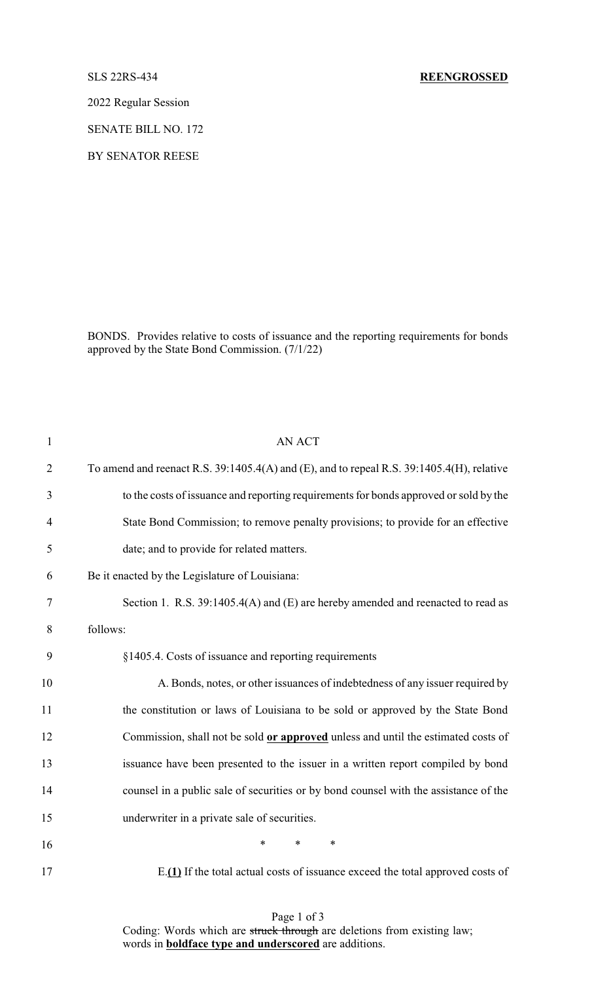2022 Regular Session

SENATE BILL NO. 172

BY SENATOR REESE

BONDS. Provides relative to costs of issuance and the reporting requirements for bonds approved by the State Bond Commission. (7/1/22)

| $\mathbf{1}$   | <b>AN ACT</b>                                                                             |
|----------------|-------------------------------------------------------------------------------------------|
| $\overline{2}$ | To amend and reenact R.S. 39:1405.4(A) and (E), and to repeal R.S. 39:1405.4(H), relative |
| 3              | to the costs of issuance and reporting requirements for bonds approved or sold by the     |
| 4              | State Bond Commission; to remove penalty provisions; to provide for an effective          |
| 5              | date; and to provide for related matters.                                                 |
| 6              | Be it enacted by the Legislature of Louisiana:                                            |
| $\tau$         | Section 1. R.S. 39:1405.4(A) and (E) are hereby amended and reenacted to read as          |
| 8              | follows:                                                                                  |
| 9              | §1405.4. Costs of issuance and reporting requirements                                     |
| 10             | A. Bonds, notes, or other issuances of indebtedness of any issuer required by             |
| 11             | the constitution or laws of Louisiana to be sold or approved by the State Bond            |
| 12             | Commission, shall not be sold or approved unless and until the estimated costs of         |
| 13             | issuance have been presented to the issuer in a written report compiled by bond           |
| 14             | counsel in a public sale of securities or by bond counsel with the assistance of the      |
| 15             | underwriter in a private sale of securities.                                              |
| 16             | $\ast$<br>*<br>$\ast$                                                                     |
| 17             | E.(1) If the total actual costs of issuance exceed the total approved costs of            |

Page 1 of 3 Coding: Words which are struck through are deletions from existing law; words in **boldface type and underscored** are additions.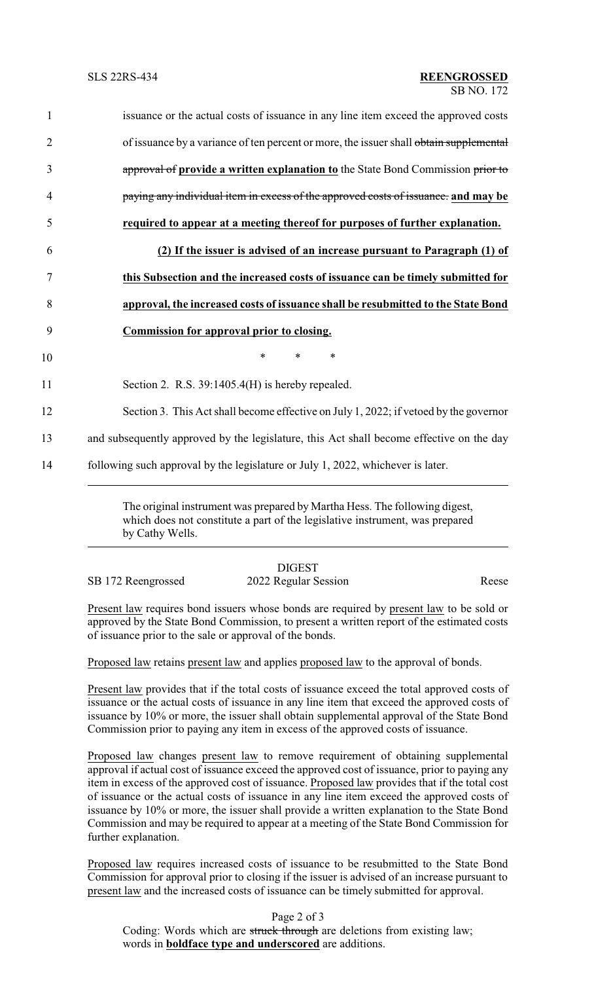| $\mathbf{1}$   | issuance or the actual costs of issuance in any line item exceed the approved costs      |
|----------------|------------------------------------------------------------------------------------------|
| $\overline{2}$ | of issuance by a variance of ten percent or more, the issuer shall obtain supplemental   |
| $\overline{3}$ | approval of provide a written explanation to the State Bond Commission prior to          |
| $\overline{4}$ | paying any individual item in excess of the approved costs of issuance. and may be       |
| 5              | required to appear at a meeting thereof for purposes of further explanation.             |
| 6              | (2) If the issuer is advised of an increase pursuant to Paragraph (1) of                 |
| 7              | this Subsection and the increased costs of issuance can be timely submitted for          |
| 8              | approval, the increased costs of issuance shall be resubmitted to the State Bond         |
| 9              | <b>Commission for approval prior to closing.</b>                                         |
| 10             | $\ast$<br>$\ast$<br>$\ast$                                                               |
| 11             | Section 2. R.S. 39:1405.4(H) is hereby repealed.                                         |
| 12             | Section 3. This Act shall become effective on July 1, 2022; if vetoed by the governor    |
| 13             | and subsequently approved by the legislature, this Act shall become effective on the day |
| 14             | following such approval by the legislature or July 1, 2022, whichever is later.          |

The original instrument was prepared by Martha Hess. The following digest, which does not constitute a part of the legislative instrument, was prepared by Cathy Wells.

DIGEST SB 172 Reengrossed 2022 Regular Session Reese

Present law requires bond issuers whose bonds are required by present law to be sold or approved by the State Bond Commission, to present a written report of the estimated costs of issuance prior to the sale or approval of the bonds.

Proposed law retains present law and applies proposed law to the approval of bonds.

Present law provides that if the total costs of issuance exceed the total approved costs of issuance or the actual costs of issuance in any line item that exceed the approved costs of issuance by 10% or more, the issuer shall obtain supplemental approval of the State Bond Commission prior to paying any item in excess of the approved costs of issuance.

Proposed law changes present law to remove requirement of obtaining supplemental approval if actual cost of issuance exceed the approved cost of issuance, prior to paying any item in excess of the approved cost of issuance. Proposed law provides that if the total cost of issuance or the actual costs of issuance in any line item exceed the approved costs of issuance by 10% or more, the issuer shall provide a written explanation to the State Bond Commission and may be required to appear at a meeting of the State Bond Commission for further explanation.

Proposed law requires increased costs of issuance to be resubmitted to the State Bond Commission for approval prior to closing if the issuer is advised of an increase pursuant to present law and the increased costs of issuance can be timely submitted for approval.

Page 2 of 3 Coding: Words which are struck through are deletions from existing law; words in **boldface type and underscored** are additions.